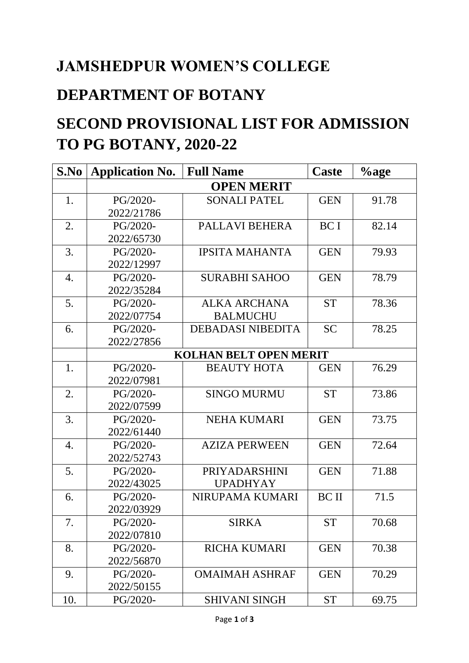## **JAMSHEDPUR WOMEN'S COLLEGE**

## **DEPARTMENT OF BOTANY**

## **SECOND PROVISIONAL LIST FOR ADMISSION TO PG BOTANY, 2020-22**

| S.No              | <b>Application No.</b>        | <b>Full Name</b>         | <b>Caste</b> | $\%$ age |  |  |
|-------------------|-------------------------------|--------------------------|--------------|----------|--|--|
| <b>OPEN MERIT</b> |                               |                          |              |          |  |  |
| 1.                | PG/2020-                      | <b>SONALI PATEL</b>      | <b>GEN</b>   | 91.78    |  |  |
|                   | 2022/21786                    |                          |              |          |  |  |
| 2.                | PG/2020-                      | PALLAVI BEHERA           | <b>BC</b> I  | 82.14    |  |  |
|                   | 2022/65730                    |                          |              |          |  |  |
| 3.                | PG/2020-                      | <b>IPSITA MAHANTA</b>    | <b>GEN</b>   | 79.93    |  |  |
|                   | 2022/12997                    |                          |              |          |  |  |
| 4.                | $PG/2020-$                    | <b>SURABHI SAHOO</b>     | <b>GEN</b>   | 78.79    |  |  |
|                   | 2022/35284                    |                          |              |          |  |  |
| 5.                | PG/2020-                      | <b>ALKA ARCHANA</b>      | <b>ST</b>    | 78.36    |  |  |
|                   | 2022/07754                    | <b>BALMUCHU</b>          |              |          |  |  |
| 6.                | PG/2020-                      | <b>DEBADASI NIBEDITA</b> | <b>SC</b>    | 78.25    |  |  |
|                   | 2022/27856                    |                          |              |          |  |  |
|                   | <b>KOLHAN BELT OPEN MERIT</b> |                          |              |          |  |  |
| 1.                | PG/2020-                      | <b>BEAUTY HOTA</b>       | <b>GEN</b>   | 76.29    |  |  |
|                   | 2022/07981                    |                          |              |          |  |  |
| 2.                | PG/2020-                      | <b>SINGO MURMU</b>       | <b>ST</b>    | 73.86    |  |  |
|                   | 2022/07599                    |                          |              |          |  |  |
| 3.                | PG/2020-                      | <b>NEHA KUMARI</b>       | <b>GEN</b>   | 73.75    |  |  |
|                   | 2022/61440                    |                          |              |          |  |  |
| $\overline{4}$ .  | PG/2020-                      | <b>AZIZA PERWEEN</b>     | <b>GEN</b>   | 72.64    |  |  |
|                   | 2022/52743                    |                          |              |          |  |  |
| 5.                | PG/2020-                      | PRIYADARSHINI            | <b>GEN</b>   | 71.88    |  |  |
|                   | 2022/43025                    | <b>UPADHYAY</b>          |              |          |  |  |
| 6.                | PG/2020-                      | NIRUPAMA KUMARI          | <b>BC</b> II | 71.5     |  |  |
|                   | 2022/03929                    |                          |              |          |  |  |
| 7.                | PG/2020-                      | <b>SIRKA</b>             | <b>ST</b>    | 70.68    |  |  |
|                   | 2022/07810                    |                          |              |          |  |  |
| 8.                | PG/2020-                      | <b>RICHA KUMARI</b>      | <b>GEN</b>   | 70.38    |  |  |
|                   | 2022/56870                    |                          |              |          |  |  |
| 9.                | PG/2020-                      | <b>OMAIMAH ASHRAF</b>    | <b>GEN</b>   | 70.29    |  |  |
|                   | 2022/50155                    |                          |              |          |  |  |
| 10.               | PG/2020-                      | <b>SHIVANI SINGH</b>     | <b>ST</b>    | 69.75    |  |  |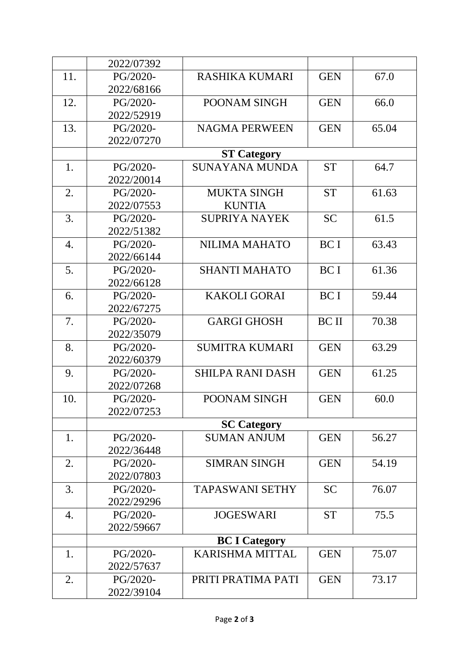|                  | 2022/07392           |                         |              |       |  |  |
|------------------|----------------------|-------------------------|--------------|-------|--|--|
| 11.              | PG/2020-             | RASHIKA KUMARI          | <b>GEN</b>   | 67.0  |  |  |
|                  | 2022/68166           |                         |              |       |  |  |
| 12.              | PG/2020-             | POONAM SINGH            | <b>GEN</b>   | 66.0  |  |  |
|                  | 2022/52919           |                         |              |       |  |  |
| 13.              | PG/2020-             | <b>NAGMA PERWEEN</b>    | <b>GEN</b>   | 65.04 |  |  |
|                  | 2022/07270           |                         |              |       |  |  |
|                  | <b>ST Category</b>   |                         |              |       |  |  |
| 1.               | PG/2020-             | <b>SUNAYANA MUNDA</b>   | <b>ST</b>    | 64.7  |  |  |
|                  | 2022/20014           |                         |              |       |  |  |
| 2.               | PG/2020-             | <b>MUKTA SINGH</b>      | <b>ST</b>    | 61.63 |  |  |
|                  | 2022/07553           | <b>KUNTIA</b>           |              |       |  |  |
| 3.               | PG/2020-             | <b>SUPRIYA NAYEK</b>    | <b>SC</b>    | 61.5  |  |  |
|                  | 2022/51382           |                         |              |       |  |  |
| 4.               | PG/2020-             | <b>NILIMA MAHATO</b>    | <b>BCI</b>   | 63.43 |  |  |
|                  | 2022/66144           |                         |              |       |  |  |
| 5.               | PG/2020-             | <b>SHANTI MAHATO</b>    | <b>BCI</b>   | 61.36 |  |  |
|                  | 2022/66128           |                         |              |       |  |  |
| 6.               | PG/2020-             | <b>KAKOLI GORAI</b>     | <b>BC</b> I  | 59.44 |  |  |
|                  | 2022/67275           |                         |              |       |  |  |
| 7.               | PG/2020-             | <b>GARGI GHOSH</b>      | <b>BC II</b> | 70.38 |  |  |
|                  | 2022/35079           |                         |              |       |  |  |
| 8.               | PG/2020-             | <b>SUMITRA KUMARI</b>   | <b>GEN</b>   | 63.29 |  |  |
|                  | 2022/60379           |                         |              |       |  |  |
| 9.               | PG/2020-             | <b>SHILPA RANI DASH</b> | <b>GEN</b>   | 61.25 |  |  |
|                  | 2022/07268           |                         |              |       |  |  |
| 10.              | PG/2020-             | POONAM SINGH            | <b>GEN</b>   | 60.0  |  |  |
|                  | 2022/07253           |                         |              |       |  |  |
|                  | <b>SC Category</b>   |                         |              |       |  |  |
| 1.               | PG/2020-             | <b>SUMAN ANJUM</b>      | <b>GEN</b>   | 56.27 |  |  |
|                  | 2022/36448           |                         |              |       |  |  |
| 2.               | PG/2020-             | <b>SIMRAN SINGH</b>     | <b>GEN</b>   | 54.19 |  |  |
|                  | 2022/07803           |                         |              |       |  |  |
| 3.               | PG/2020-             | <b>TAPASWANI SETHY</b>  | <b>SC</b>    | 76.07 |  |  |
|                  | 2022/29296           |                         |              |       |  |  |
| $\overline{4}$ . | PG/2020-             | <b>JOGESWARI</b>        | <b>ST</b>    | 75.5  |  |  |
|                  | 2022/59667           |                         |              |       |  |  |
|                  | <b>BC I Category</b> |                         |              |       |  |  |
| 1.               | PG/2020-             | <b>KARISHMA MITTAL</b>  | <b>GEN</b>   | 75.07 |  |  |
|                  | 2022/57637           |                         |              |       |  |  |
| 2.               | PG/2020-             | PRITI PRATIMA PATI      | <b>GEN</b>   | 73.17 |  |  |
|                  | 2022/39104           |                         |              |       |  |  |